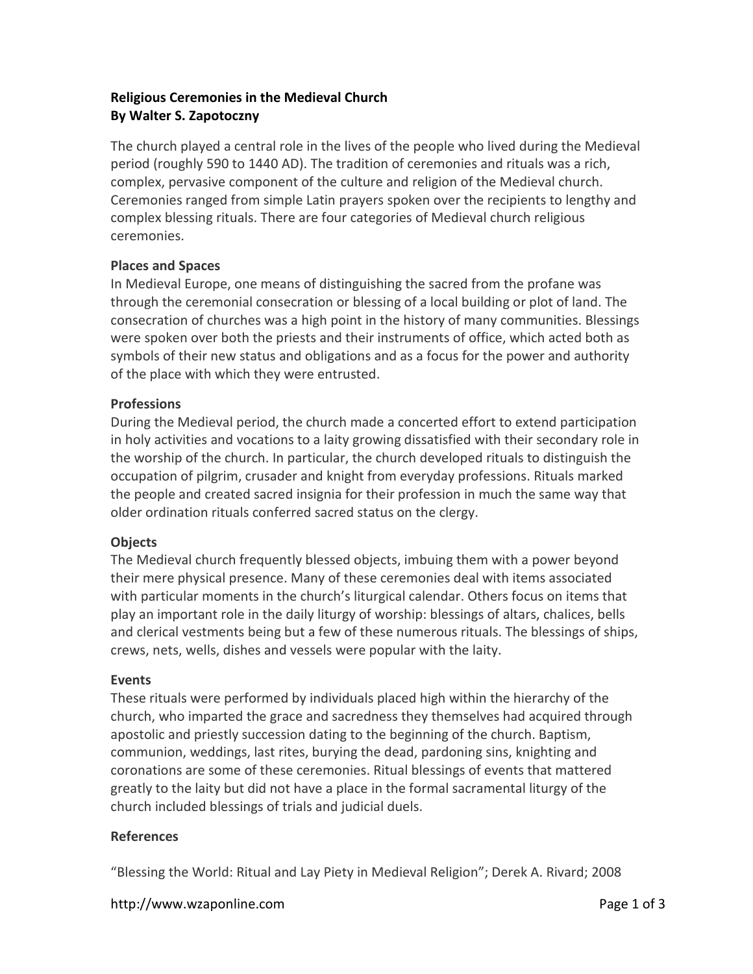# **Religious Ceremonies in the Medieval Church By Walter S. Zapotoczny**

The church played a central role in the lives of the people who lived during the Medieval period (roughly 590 to 1440 AD). The tradition of ceremonies and rituals was a rich, complex, pervasive component of the culture and religion of the Medieval church. Ceremonies ranged from simple Latin prayers spoken over the recipients to lengthy and complex blessing rituals. There are four categories of Medieval church religious ceremonies.

# **Places and Spaces**

In Medieval Europe, one means of distinguishing the sacred from the profane was through the ceremonial consecration or blessing of a local building or plot of land. The consecration of churches was a high point in the history of many communities. Blessings were spoken over both the priests and their instruments of office, which acted both as symbols of their new status and obligations and as a focus for the power and authority of the place with which they were entrusted.

# **Professions**

During the Medieval period, the church made a concerted effort to extend participation in holy activities and vocations to a laity growing dissatisfied with their secondary role in the worship of the church. In particular, the church developed rituals to distinguish the occupation of pilgrim, crusader and knight from everyday professions. Rituals marked the people and created sacred insignia for their profession in much the same way that older ordination rituals conferred sacred status on the clergy.

### **Objects**

The Medieval church frequently blessed objects, imbuing them with a power beyond their mere physical presence. Many of these ceremonies deal with items associated with particular moments in the church's liturgical calendar. Others focus on items that play an important role in the daily liturgy of worship: blessings of altars, chalices, bells and clerical vestments being but a few of these numerous rituals. The blessings of ships, crews, nets, wells, dishes and vessels were popular with the laity.

### **Events**

These rituals were performed by individuals placed high within the hierarchy of the church, who imparted the grace and sacredness they themselves had acquired through apostolic and priestly succession dating to the beginning of the church. Baptism, communion, weddings, last rites, burying the dead, pardoning sins, knighting and coronations are some of these ceremonies. Ritual blessings of events that mattered greatly to the laity but did not have a place in the formal sacramental liturgy of the church included blessings of trials and judicial duels.

### **References**

"Blessing the World: Ritual and Lay Piety in Medieval Religion"; Derek A. Rivard; 2008